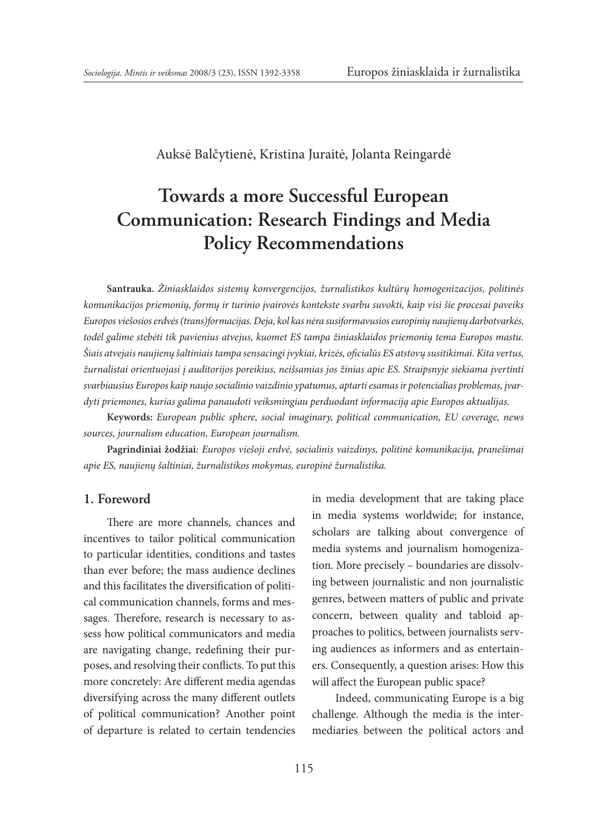Auksė Balčytienė, Kristina Juraitė, Jolanta Reingardė

# **Towards a more Successful European Communication: Research Findings and Media Policy Recommendations**

**Santrauka.** *Žiniasklaidos sistemų konvergencijos, žurnalistikos kultūrų homogenizacijos, politinės komunikacijos priemonių, formų ir turinio įvairovės kontekste svarbu suvokti, kaip visi šie procesai paveiks Europos viešosios erdvės (trans)formacijas. Deja, kol kas nėra susiformavusios europinių naujienų darbotvarkės, todėl galime stebėti tik pavienius atvejus, kuomet ES tampa žiniasklaidos priemonių tema Europos mastu. Šiais atvejais naujienų šaltiniais tampa sensacingi įvykiai, krizės, oficialūs ES atstovų susitikimai. Kita vertus, žurnalistai orientuojasi į auditorijos poreikius, neišsamias jos žinias apie ES. Straipsnyje siekiama įvertinti svarbiausius Europos kaip naujo socialinio vaizdinio ypatumus, aptarti esamas ir potencialias problemas, įvardyti priemones, kurias galima panaudoti veiksmingiau perduodant informaciją apie Europos aktualijas.* 

**Keywords:** *European public sphere, social imaginary, political communication, EU coverage, news sources, journalism education, European journalism.*

**Pagrindiniai žodžiai***: Europos viešoji erdvė, socialinis vaizdinys, politinė komunikacija, pranešimai apie ES, naujienų šaltiniai, žurnalistikos mokymas, europinė žurnalistika.*

#### **1. Foreword**

There are more channels, chances and incentives to tailor political communication to particular identities, conditions and tastes than ever before; the mass audience declines and this facilitates the diversification of political communication channels, forms and messages. Therefore, research is necessary to assess how political communicators and media are navigating change, redefining their purposes, and resolving their conflicts. To put this more concretely: Are different media agendas diversifying across the many different outlets of political communication? Another point of departure is related to certain tendencies in media development that are taking place in media systems worldwide; for instance, scholars are talking about convergence of media systems and journalism homogenization. More precisely – boundaries are dissolving between journalistic and non journalistic genres, between matters of public and private concern, between quality and tabloid approaches to politics, between journalists serving audiences as informers and as entertainers. Consequently, a question arises: How this will affect the European public space?

Indeed, communicating Europe is a big challenge. Although the media is the intermediaries between the political actors and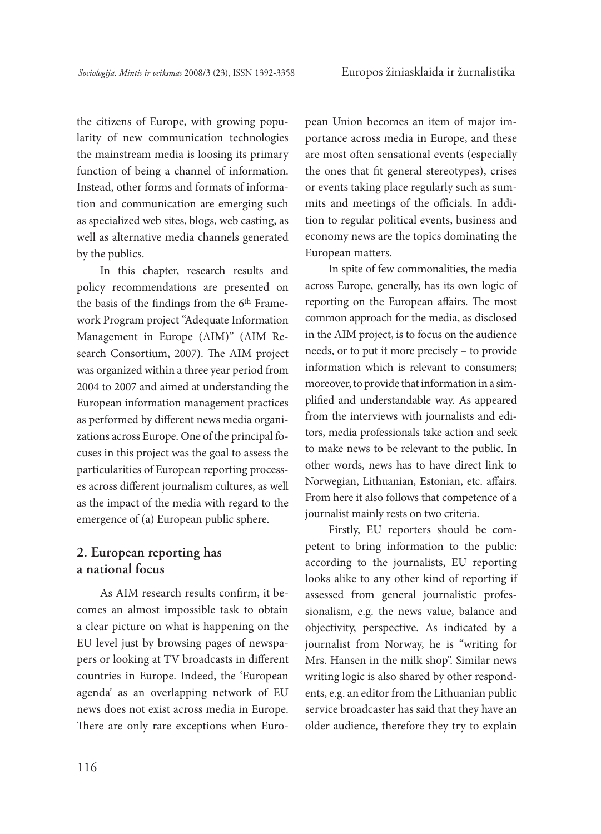the citizens of Europe, with growing popularity of new communication technologies the mainstream media is loosing its primary function of being a channel of information. Instead, other forms and formats of information and communication are emerging such as specialized web sites, blogs, web casting, as well as alternative media channels generated by the publics.

In this chapter, research results and policy recommendations are presented on the basis of the findings from the 6<sup>th</sup> Framework Program project "Adequate Information Management in Europe (AIM)" (AIM Research Consortium, 2007). The AIM project was organized within a three year period from 2004 to 2007 and aimed at understanding the European information management practices as performed by different news media organizations across Europe. One of the principal focuses in this project was the goal to assess the particularities of European reporting processes across different journalism cultures, as well as the impact of the media with regard to the emergence of (a) European public sphere.

## **2. European reporting has a national focus**

As AIM research results confirm, it becomes an almost impossible task to obtain a clear picture on what is happening on the EU level just by browsing pages of newspapers or looking at TV broadcasts in different countries in Europe. Indeed, the 'European agenda' as an overlapping network of EU news does not exist across media in Europe. There are only rare exceptions when European Union becomes an item of major importance across media in Europe, and these are most often sensational events (especially the ones that fit general stereotypes), crises or events taking place regularly such as summits and meetings of the officials. In addition to regular political events, business and economy news are the topics dominating the European matters.

In spite of few commonalities, the media across Europe, generally, has its own logic of reporting on the European affairs. The most common approach for the media, as disclosed in the AIM project, is to focus on the audience needs, or to put it more precisely – to provide information which is relevant to consumers; moreover, to provide that information in a simplified and understandable way. As appeared from the interviews with journalists and editors, media professionals take action and seek to make news to be relevant to the public. In other words, news has to have direct link to Norwegian, Lithuanian, Estonian, etc. affairs. From here it also follows that competence of a journalist mainly rests on two criteria.

Firstly, EU reporters should be competent to bring information to the public: according to the journalists, EU reporting looks alike to any other kind of reporting if assessed from general journalistic professionalism, e.g. the news value, balance and objectivity, perspective. As indicated by a journalist from Norway, he is "writing for Mrs. Hansen in the milk shop". Similar news writing logic is also shared by other respondents, e.g. an editor from the Lithuanian public service broadcaster has said that they have an older audience, therefore they try to explain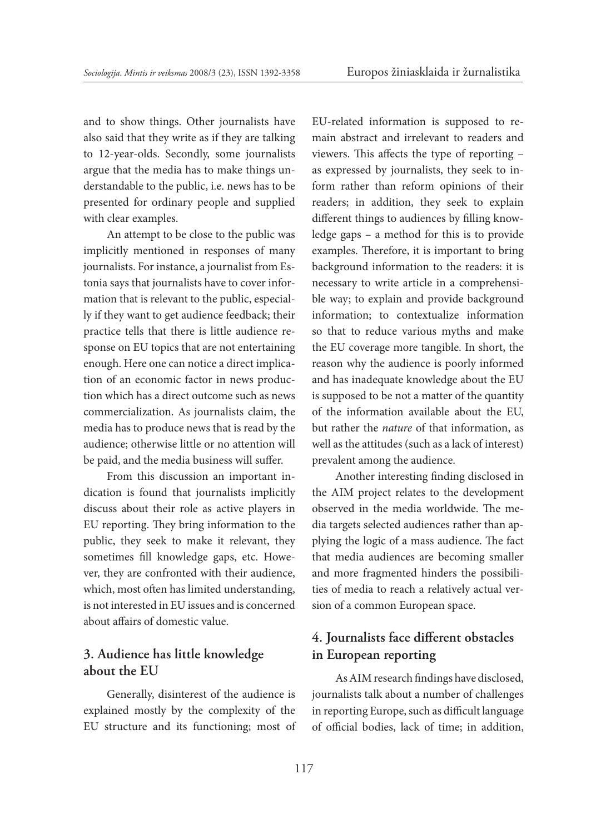and to show things. Other journalists have also said that they write as if they are talking to 12-year-olds. Secondly, some journalists argue that the media has to make things understandable to the public, i.e. news has to be presented for ordinary people and supplied with clear examples.

An attempt to be close to the public was implicitly mentioned in responses of many journalists. For instance, a journalist from Estonia says that journalists have to cover information that is relevant to the public, especially if they want to get audience feedback; their practice tells that there is little audience response on EU topics that are not entertaining enough. Here one can notice a direct implication of an economic factor in news production which has a direct outcome such as news commercialization. As journalists claim, the media has to produce news that is read by the audience; otherwise little or no attention will be paid, and the media business will suffer.

From this discussion an important indication is found that journalists implicitly discuss about their role as active players in EU reporting. They bring information to the public, they seek to make it relevant, they sometimes fill knowledge gaps, etc. However, they are confronted with their audience, which, most often has limited understanding, is not interested in EU issues and is concerned about affairs of domestic value.

### **3. Audience has little knowledge about the EU**

Generally, disinterest of the audience is explained mostly by the complexity of the EU structure and its functioning; most of EU-related information is supposed to remain abstract and irrelevant to readers and viewers. This affects the type of reporting – as expressed by journalists, they seek to inform rather than reform opinions of their readers; in addition, they seek to explain different things to audiences by filling knowledge gaps – a method for this is to provide examples. Therefore, it is important to bring background information to the readers: it is necessary to write article in a comprehensible way; to explain and provide background information; to contextualize information so that to reduce various myths and make the EU coverage more tangible. In short, the reason why the audience is poorly informed and has inadequate knowledge about the EU is supposed to be not a matter of the quantity of the information available about the EU, but rather the *nature* of that information, as well as the attitudes (such as a lack of interest) prevalent among the audience.

Another interesting finding disclosed in the AIM project relates to the development observed in the media worldwide. The media targets selected audiences rather than applying the logic of a mass audience. The fact that media audiences are becoming smaller and more fragmented hinders the possibilities of media to reach a relatively actual version of a common European space.

# **4. Journalists face different obstacles in European reporting**

As AIM research findings have disclosed, journalists talk about a number of challenges in reporting Europe, such as difficult language of official bodies, lack of time; in addition,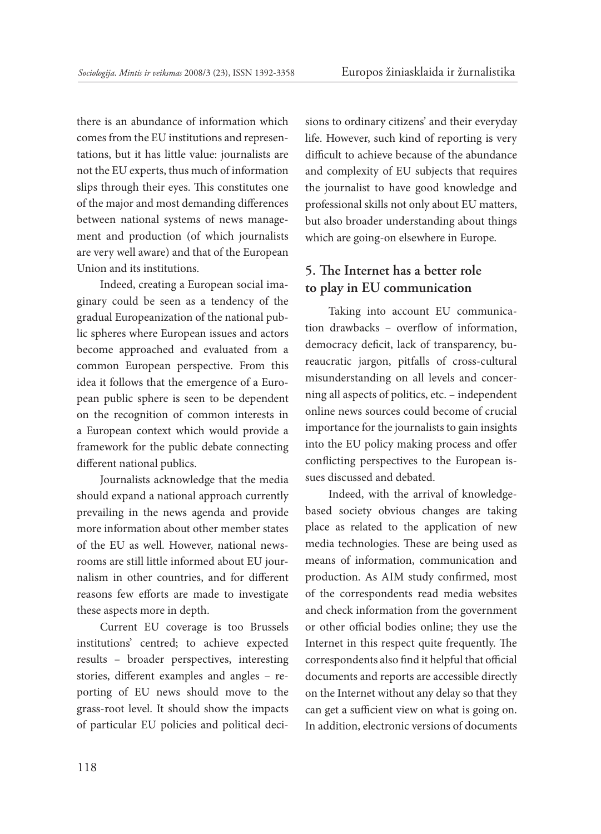there is an abundance of information which comes from the EU institutions and representations, but it has little value: journalists are not the EU experts, thus much of information slips through their eyes. This constitutes one of the major and most demanding differences between national systems of news management and production (of which journalists are very well aware) and that of the European Union and its institutions.

Indeed, creating a European social imaginary could be seen as a tendency of the gradual Europeanization of the national public spheres where European issues and actors become approached and evaluated from a common European perspective. From this idea it follows that the emergence of a European public sphere is seen to be dependent on the recognition of common interests in a European context which would provide a framework for the public debate connecting different national publics.

Journalists acknowledge that the media should expand a national approach currently prevailing in the news agenda and provide more information about other member states of the EU as well. However, national newsrooms are still little informed about EU journalism in other countries, and for different reasons few efforts are made to investigate these aspects more in depth.

Current EU coverage is too Brussels institutions' centred; to achieve expected results – broader perspectives, interesting stories, different examples and angles – reporting of EU news should move to the grass-root level. It should show the impacts of particular EU policies and political decisions to ordinary citizens' and their everyday life. However, such kind of reporting is very difficult to achieve because of the abundance and complexity of EU subjects that requires the journalist to have good knowledge and professional skills not only about EU matters, but also broader understanding about things which are going-on elsewhere in Europe.

# **5. The Internet has a better role to play in EU communication**

Taking into account EU communication drawbacks – overflow of information, democracy deficit, lack of transparency, bureaucratic jargon, pitfalls of cross-cultural misunderstanding on all levels and concerning all aspects of politics, etc. – independent online news sources could become of crucial importance for the journalists to gain insights into the EU policy making process and offer conflicting perspectives to the European issues discussed and debated.

Indeed, with the arrival of knowledgebased society obvious changes are taking place as related to the application of new media technologies. These are being used as means of information, communication and production. As AIM study confirmed, most of the correspondents read media websites and check information from the government or other official bodies online; they use the Internet in this respect quite frequently. The correspondents also find it helpful that official documents and reports are accessible directly on the Internet without any delay so that they can get a sufficient view on what is going on. In addition, electronic versions of documents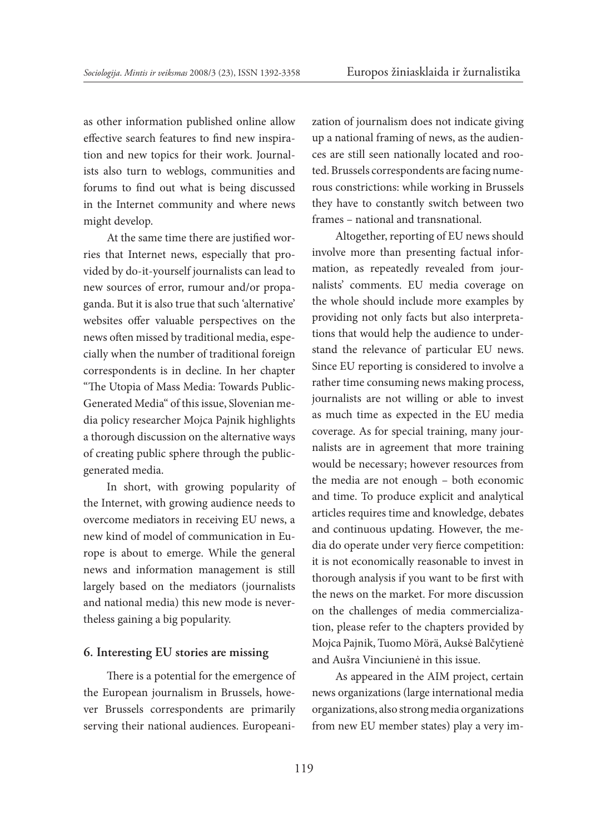as other information published online allow effective search features to find new inspiration and new topics for their work. Journalists also turn to weblogs, communities and forums to find out what is being discussed in the Internet community and where news might develop.

At the same time there are justified worries that Internet news, especially that provided by do-it-yourself journalists can lead to new sources of error, rumour and/or propaganda. But it is also true that such 'alternative' websites offer valuable perspectives on the news often missed by traditional media, especially when the number of traditional foreign correspondents is in decline. In her chapter "The Utopia of Mass Media: Towards Public-Generated Media" of this issue, Slovenian media policy researcher Mojca Pajnik highlights a thorough discussion on the alternative ways of creating public sphere through the publicgenerated media.

In short, with growing popularity of the Internet, with growing audience needs to overcome mediators in receiving EU news, a new kind of model of communication in Europe is about to emerge. While the general news and information management is still largely based on the mediators (journalists and national media) this new mode is nevertheless gaining a big popularity.

### **6. Interesting EU stories are missing**

There is a potential for the emergence of the European journalism in Brussels, however Brussels correspondents are primarily serving their national audiences. Europeanization of journalism does not indicate giving up a national framing of news, as the audiences are still seen nationally located and rooted. Brussels correspondents are facing numerous constrictions: while working in Brussels they have to constantly switch between two frames – national and transnational.

Altogether, reporting of EU news should involve more than presenting factual information, as repeatedly revealed from journalists' comments. EU media coverage on the whole should include more examples by providing not only facts but also interpretations that would help the audience to understand the relevance of particular EU news. Since EU reporting is considered to involve a rather time consuming news making process, journalists are not willing or able to invest as much time as expected in the EU media coverage. As for special training, many journalists are in agreement that more training would be necessary; however resources from the media are not enough – both economic and time. To produce explicit and analytical articles requires time and knowledge, debates and continuous updating. However, the media do operate under very fierce competition: it is not economically reasonable to invest in thorough analysis if you want to be first with the news on the market. For more discussion on the challenges of media commercialization, please refer to the chapters provided by Mojca Pajnik, Tuomo Mörä, Auksė Balčytienė and Aušra Vinciunienė in this issue.

As appeared in the AIM project, certain news organizations (large international media organizations, also strong media organizations from new EU member states) play a very im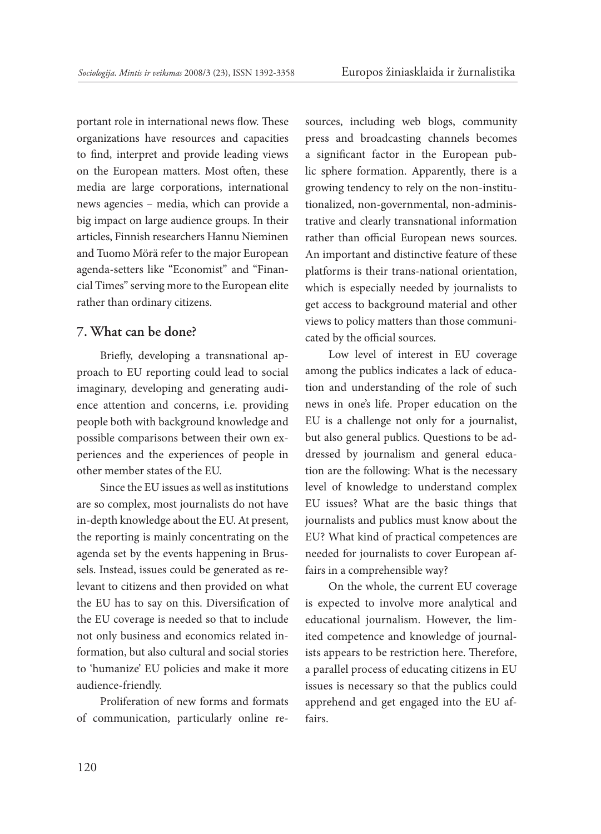portant role in international news flow. These organizations have resources and capacities to find, interpret and provide leading views on the European matters. Most often, these media are large corporations, international news agencies – media, which can provide a big impact on large audience groups. In their articles, Finnish researchers Hannu Nieminen and Tuomo Mörä refer to the major European agenda-setters like "Economist" and "Financial Times" serving more to the European elite rather than ordinary citizens.

#### **7. What can be done?**

Briefly, developing a transnational approach to EU reporting could lead to social imaginary, developing and generating audience attention and concerns, i.e. providing people both with background knowledge and possible comparisons between their own experiences and the experiences of people in other member states of the EU.

Since the EU issues as well as institutions are so complex, most journalists do not have in-depth knowledge about the EU. At present, the reporting is mainly concentrating on the agenda set by the events happening in Brussels. Instead, issues could be generated as relevant to citizens and then provided on what the EU has to say on this. Diversification of the EU coverage is needed so that to include not only business and economics related information, but also cultural and social stories to 'humanize' EU policies and make it more audience-friendly.

Proliferation of new forms and formats of communication, particularly online resources, including web blogs, community press and broadcasting channels becomes a significant factor in the European public sphere formation. Apparently, there is a growing tendency to rely on the non-institutionalized, non-governmental, non-administrative and clearly transnational information rather than official European news sources. An important and distinctive feature of these platforms is their trans-national orientation, which is especially needed by journalists to get access to background material and other views to policy matters than those communicated by the official sources.

Low level of interest in EU coverage among the publics indicates a lack of education and understanding of the role of such news in one's life. Proper education on the EU is a challenge not only for a journalist, but also general publics. Questions to be addressed by journalism and general education are the following: What is the necessary level of knowledge to understand complex EU issues? What are the basic things that journalists and publics must know about the EU? What kind of practical competences are needed for journalists to cover European affairs in a comprehensible way?

On the whole, the current EU coverage is expected to involve more analytical and educational journalism. However, the limited competence and knowledge of journalists appears to be restriction here. Therefore, a parallel process of educating citizens in EU issues is necessary so that the publics could apprehend and get engaged into the EU affairs.